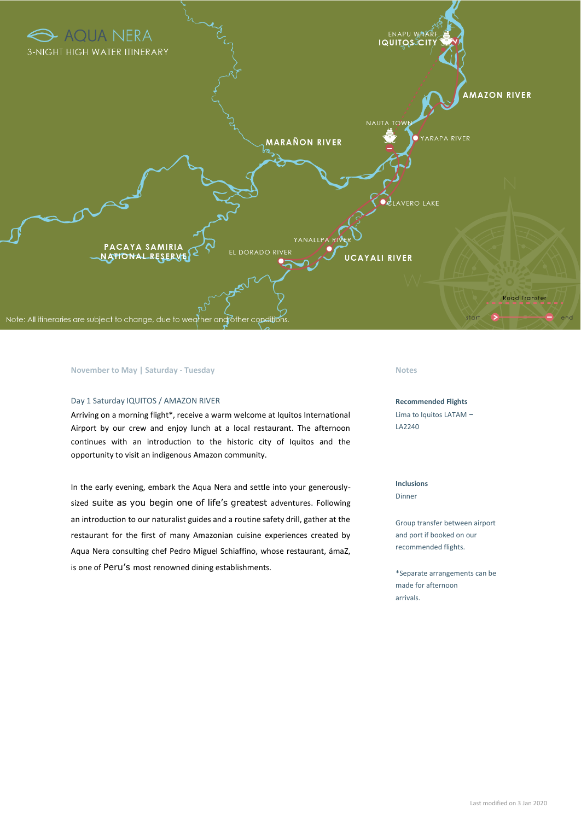

## **November to May | Saturday - Tuesday Notes**

## Day 1 Saturday IQUITOS / AMAZON RIVER

Arriving on a morning flight\*, receive a warm welcome at Iquitos International Airport by our crew and enjoy lunch at a local restaurant. The afternoon continues with an introduction to the historic city of Iquitos and the opportunity to visit an indigenous Amazon community.

In the early evening, embark the Aqua Nera and settle into your generouslysized suite as you begin one of life's greatest adventures. Following an introduction to our naturalist guides and a routine safety drill, gather at the restaurant for the first of many Amazonian cuisine experiences created by Aqua Nera consulting chef Pedro Miguel Schiaffino, whose restaurant, ámaZ, is one of Peru's most renowned dining establishments.

### **Recommended Flights**

Lima to Iquitos LATAM – LA2240

# **Inclusions**

Dinner

Group transfer between airport and port if booked on our recommended flights.

\*Separate arrangements can be made for afternoon arrivals.